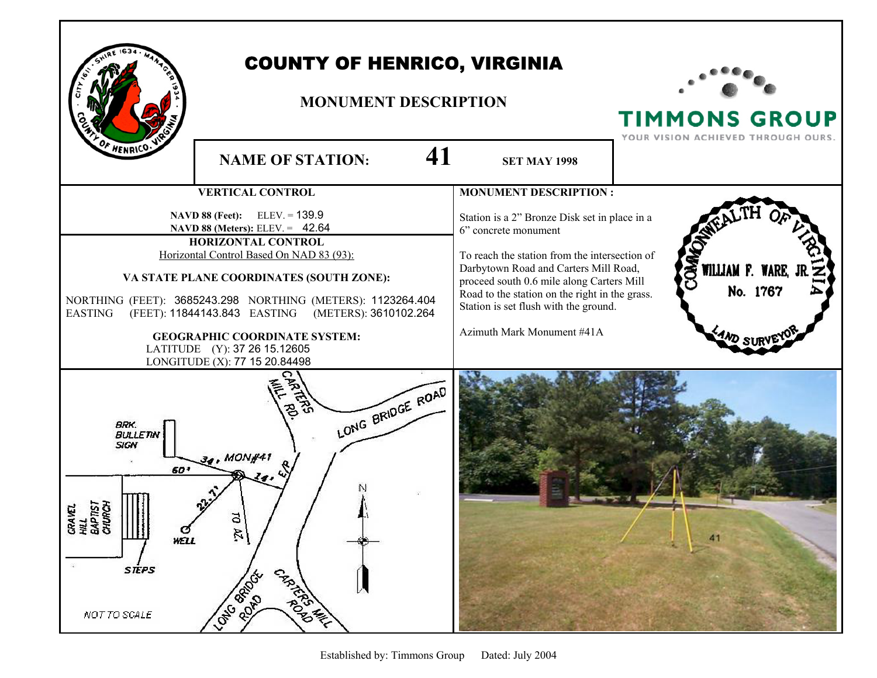

## COUNTY OF HENRICO, VIRGINIA

## **MONUMENT DESCRIPTION**



TIMMONS GROUP YOUR VISION ACHIEVED THROUGH OURS.